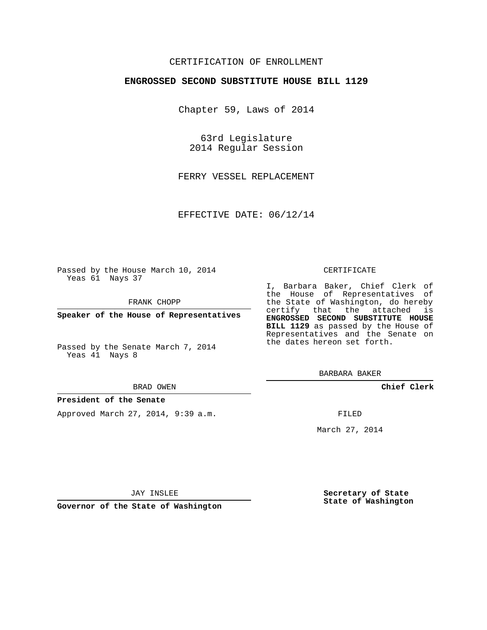## CERTIFICATION OF ENROLLMENT

#### **ENGROSSED SECOND SUBSTITUTE HOUSE BILL 1129**

Chapter 59, Laws of 2014

63rd Legislature 2014 Regular Session

FERRY VESSEL REPLACEMENT

EFFECTIVE DATE: 06/12/14

Passed by the House March 10, 2014 Yeas 61 Nays 37

FRANK CHOPP

**Speaker of the House of Representatives**

Passed by the Senate March 7, 2014 Yeas 41 Nays 8

#### BRAD OWEN

### **President of the Senate**

Approved March 27, 2014, 9:39 a.m.

#### CERTIFICATE

I, Barbara Baker, Chief Clerk of the House of Representatives of the State of Washington, do hereby certify that the attached is **ENGROSSED SECOND SUBSTITUTE HOUSE BILL 1129** as passed by the House of Representatives and the Senate on the dates hereon set forth.

BARBARA BAKER

**Chief Clerk**

FILED

March 27, 2014

JAY INSLEE

**Governor of the State of Washington**

**Secretary of State State of Washington**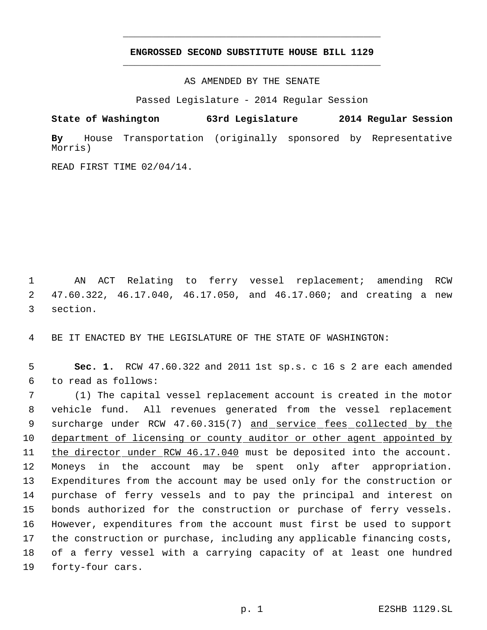# **ENGROSSED SECOND SUBSTITUTE HOUSE BILL 1129** \_\_\_\_\_\_\_\_\_\_\_\_\_\_\_\_\_\_\_\_\_\_\_\_\_\_\_\_\_\_\_\_\_\_\_\_\_\_\_\_\_\_\_\_\_

\_\_\_\_\_\_\_\_\_\_\_\_\_\_\_\_\_\_\_\_\_\_\_\_\_\_\_\_\_\_\_\_\_\_\_\_\_\_\_\_\_\_\_\_\_

AS AMENDED BY THE SENATE

Passed Legislature - 2014 Regular Session

**State of Washington 63rd Legislature 2014 Regular Session**

**By** House Transportation (originally sponsored by Representative Morris)

READ FIRST TIME 02/04/14.

 1 AN ACT Relating to ferry vessel replacement; amending RCW 2 47.60.322, 46.17.040, 46.17.050, and 46.17.060; and creating a new 3 section.

4 BE IT ENACTED BY THE LEGISLATURE OF THE STATE OF WASHINGTON:

 5 **Sec. 1.** RCW 47.60.322 and 2011 1st sp.s. c 16 s 2 are each amended 6 to read as follows:

 (1) The capital vessel replacement account is created in the motor vehicle fund. All revenues generated from the vessel replacement 9 surcharge under RCW 47.60.315(7) and service fees collected by the department of licensing or county auditor or other agent appointed by 11 the director under RCW 46.17.040 must be deposited into the account. Moneys in the account may be spent only after appropriation. Expenditures from the account may be used only for the construction or purchase of ferry vessels and to pay the principal and interest on bonds authorized for the construction or purchase of ferry vessels. However, expenditures from the account must first be used to support the construction or purchase, including any applicable financing costs, of a ferry vessel with a carrying capacity of at least one hundred forty-four cars.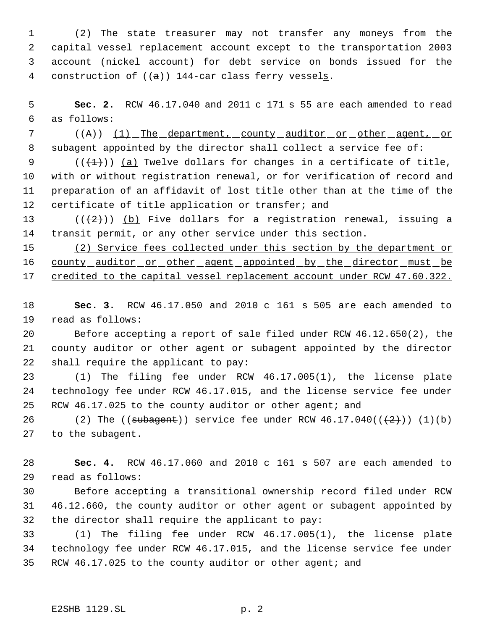(2) The state treasurer may not transfer any moneys from the capital vessel replacement account except to the transportation 2003 account (nickel account) for debt service on bonds issued for the construction of ((a)) 144-car class ferry vessels.

 **Sec. 2.** RCW 46.17.040 and 2011 c 171 s 55 are each amended to read as follows:

7 ((A)) <u>(1) The department, county auditor or other agent, or</u> 8 subagent appointed by the director shall collect a service fee of:

 $((+1))$  (a) Twelve dollars for changes in a certificate of title, with or without registration renewal, or for verification of record and preparation of an affidavit of lost title other than at the time of the 12 certificate of title application or transfer; and

13 ( $(\frac{1}{2})$ ) (b) Five dollars for a registration renewal, issuing a transit permit, or any other service under this section.

 (2) Service fees collected under this section by the department or 16 county auditor or other agent appointed by the director must be 17 credited to the capital vessel replacement account under RCW 47.60.322.

 **Sec. 3.** RCW 46.17.050 and 2010 c 161 s 505 are each amended to read as follows:

 Before accepting a report of sale filed under RCW 46.12.650(2), the county auditor or other agent or subagent appointed by the director shall require the applicant to pay:

 (1) The filing fee under RCW 46.17.005(1), the license plate technology fee under RCW 46.17.015, and the license service fee under RCW 46.17.025 to the county auditor or other agent; and

26 (2) The  $((\text{subagent}))$  service fee under RCW  $46.17.040((\frac{+2}{}))(\frac{1}{b})$ to the subagent.

 **Sec. 4.** RCW 46.17.060 and 2010 c 161 s 507 are each amended to read as follows:

 Before accepting a transitional ownership record filed under RCW 46.12.660, the county auditor or other agent or subagent appointed by the director shall require the applicant to pay:

 (1) The filing fee under RCW 46.17.005(1), the license plate technology fee under RCW 46.17.015, and the license service fee under RCW 46.17.025 to the county auditor or other agent; and